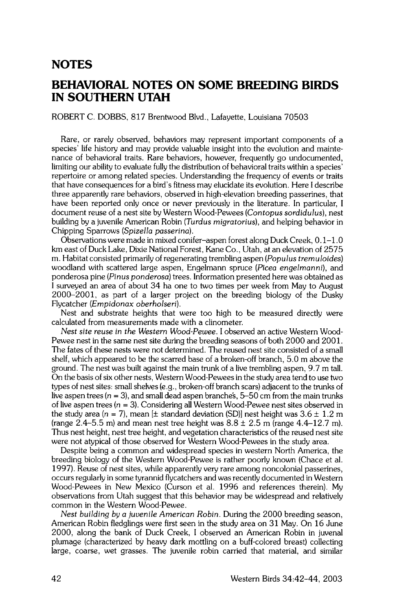## **NOTES**

# **BEHAVIORAL NOTES ON SOME BREEDING BIRDS IN SOUTHERN UTAH**

### **ROBERT C. DOBBS, 817 Brentwood Blvd., Lafayette, Louisiana 70503**

**Rare, or rarely observed, behaviors may represent important components of a species' life history and may provide valuable insight into the evolution and maintenance of behavioral traits. Rare behaviors, however, frequently go undocumented, limiting our ability to evaluate fully the distribution of behavioral traits within a species' repertoire or among related species. Understanding the frequency of events or traits that have consequences for a bird's fitness may elucidate its evolution. Here ! describe three apparently rare behaviors, observed in high-elevation breeding passerines, that have been reported only once or never previously in the literature. In particular, I document reuse of a nest site by Western Wood-Pewees (Contopus sordidulus), nest building by a juvenile American Robin (Turdus migratorius), and helping behavior in Chipping Sparrows (Spizella passerina).** 

**Observations were made in mixed conifer-aspen forest along Duck Creek, 0.1-1.0 km east of Duck Lake, Dixie National Forest, Kane Co., Utah, at an elevation of 2575 m. Habitat consisted primarily of regenerating trembling aspen (Populus trem u loides) woodland with scattered large aspen, Engelmann spruce (Picea engelmanni), and**  ponderosa pine (Pinus ponderosa) trees. Information presented here was obtained as **I surveyed an area of about 34 ha one to two times per week from May to August 2000-2001, as part of a larger project on the breeding biology of the Dusky Flycatcher (Empidonax oberholseri).** 

**Nest and substrate heights that were too high to be measured directly were calculated from measurements made with a clinometer.** 

**Nest site reuse in the Western Wood-Pewee. I observed an active Western Wood-Pewee nest in the same nest site during the breeding seasons of both 2000 and 2001. The fates of these nests were not determined. The reused nest site consisted of a small shelf, which appeared to be the scarred base of a broken-off branch, 5.0 m above the**  ground. The nest was built against the main trunk of a live trembling aspen, 9.7 m tall. **On the basis of six other nests, Western Wood-Pewees in the study area tend to use two types of nest sites: small shelves (e.g., broken-off branch scars) adjacent to the trunks of**  live aspen trees (n = 3), and small dead aspen branche's, 5-50 cm from the main trunks of live aspen trees  $(n = 3)$ . Considering all Western Wood-Pewee nest sites observed in the study area ( $n = 7$ ), mean [ $\pm$  standard deviation (SD)] nest height was  $3.6 \pm 1.2$  m **(range 2.4-5.5 m) and mean nest tree height was 8.8 + 2.5 m (range 4.4-12.7 m). Thus nest height, nest tree height, and vegetation characteristics of the reused nest site were not atypical of those observed for Western Wood-Pewees in the study area.** 

**Despite being a common and widespread species in western North America, the breeding biology of the Western Wood-Pewee is rather poorly known (Chace et al. 1997). Reuse of nest sites, while apparently very rare among noncolonial passerines, occurs regularly in some tyrannid flycatchers and was recently documented in Western Wood-Pewees in New Mexico (Curson et al. 1996 and references therein). My observations from Utah suggest that this behavior may be widespread and relatively common in the Western Wood-Pewee.** 

**Nest building by a juvenile American Robin. During the 2000 breeding season, American Robin fledglings were first seen in the study area on 31 May. On 16 June 2000, along the bank of Duck Creek, I observed an American Robin in juvenal plumage (characterized by heavy dark mottling on a buff-colored breast) collecting large, coarse, wet grasses. The juvenile robin carried that material, and similar**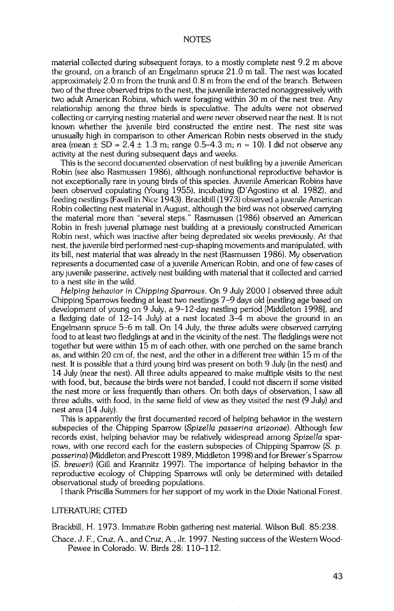#### **NOTES**

**material collected during subsequent forays, to a mostly complete nest 9.2 m above the ground, on a branch of an Engelmann spruce 21.0 m tall. The nest was located approximately 2.0 m from the trunk and 0.8 m from the end of the branch. Between two of the three observed trips to the nest, the juvenile interacted nonaggressively with two adult American Robins, which were foraging within 30 m of the nest tree. Any relationship among the three birds is speculative. The adults were not observed collecting or carrying nesting material and were never observed near the nest. It is not known whether the juvenile bird constructed the entire nest. The nest site was unusually high in comparison to other American Robin nests observed in the study area** (mean  $\pm$  SD = 2.4  $\pm$  1.3 m; range 0.5–4.3 m;  $n = 10$ ). I did not observe any **activity at the nest during subsequent days and weeks.** 

**This is the second documented observation of nest building by a juvenile American Robin (see also Rasmussen 1986), although nonfunctional reproductive behavior is not exceptionally rare in young birds of this species. Juvenile American Robins have been observed copulating (Young 1955), incubating (D'Agostino et al. 1982), and feeding nestlings (Favell in Nice 1943). Brackbill (1973) observed ajuvenile American Robin collecting nest material in August, although the bird was not observed carrying the material more than "several steps." Rasmussen (1986) observed an American Robin in fresh juvenal plumage nest building at a previously constructed American Robin nest, which was inactive after being depredated six weeks previously. At that nest, the juvenile bird performed nest-cup-shaping movements and manipulated, with its bill, nest material that was already in the nest (Rasmussen 1986). My observation represents adocumented case of a juvenile American Robin, and one of few cases of any juvenile passerine, actively nest building with material that it collected and carried to a nest site in the wild.** 

**Helping behavior in Chipping Sparrows. On 9 July 2000 1 observed three adult Chipping Sparrows feeding at least two nestlings 7-9 days old (nestling age based on development of young on 9 July, a 9-12-day nestling period [Middleton 1998], and a fiedging date of 12-14 July) at a nest located 3-4 m above the ground in an Engelmann spruce 5-6 m tall. On 14 July, the three adults were observed carrying food to at least two fledglings at and in the vicinity of the nest. The fledglings were not together but were within 15 m of each other, with one perched on the same branch as, and within 20 cm of, the nest, and the other in a different tree within 15 m of the nest. It is possible that a third young bird was present on both 9 July (in the nest) and 14 July (near the nest). All three adults appeared to make multiple visits to the nest with food, but, because the birds were not banded, I could not discern if some visited the nest more or less frequently than others. On both days of observation, I saw all three adults, with food, in the same field of view as they visited the nest (9 July) and nest area (14 July).** 

**This is apparently the first documented record of helping behavior in the western**  subspecies of the Chipping Sparrow (Spizella passerina arizonae). Although few **records exist, helping behavior may be relatively widespread among Spizella sparrows, with one record each for the eastern subspecies of Chipping Sparrow (S. p. passerina) (Middleton and Prescott 1989, Middleton 1998) and for Brewer's Sparrow (S. breweri) (Gill and Krannitz 1997). The importance of helping behavior in the reproductive ecology of Chipping Sparrows will only be determined with detailed observational study of breeding populations.** 

**I thank Priscilla Summers for her support of my work in the Dixie National Forest.** 

### **LITERATURE CITED**

**Brackbill, H. 1973. Immature Robin gathering nest material. Wilson Bull. 85:238.** 

**Chace, J. F., Cruz, A., and Cruz, A., Jr. 1997. Nesting success of the Western Wood-Pewee in Colorado. W. Birds 28: 110-112.**